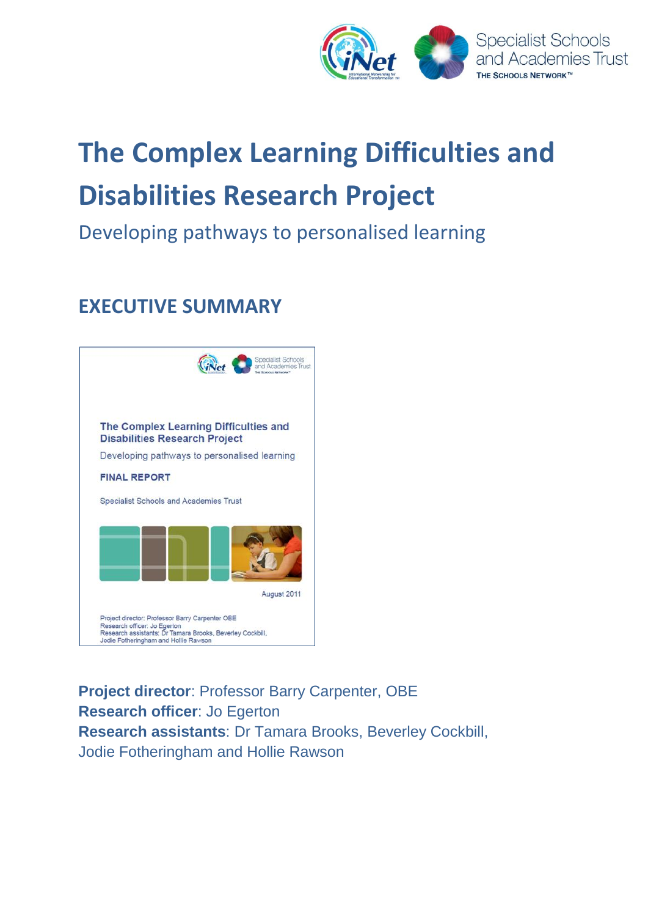

# **The Complex Learning Difficulties and Disabilities Research Project**

# Developing pathways to personalised learning

# **EXECUTIVE SUMMARY**



**Project director**: Professor Barry Carpenter, OBE **Research officer**: Jo Egerton **Research assistants**: Dr Tamara Brooks, Beverley Cockbill, Jodie Fotheringham and Hollie Rawson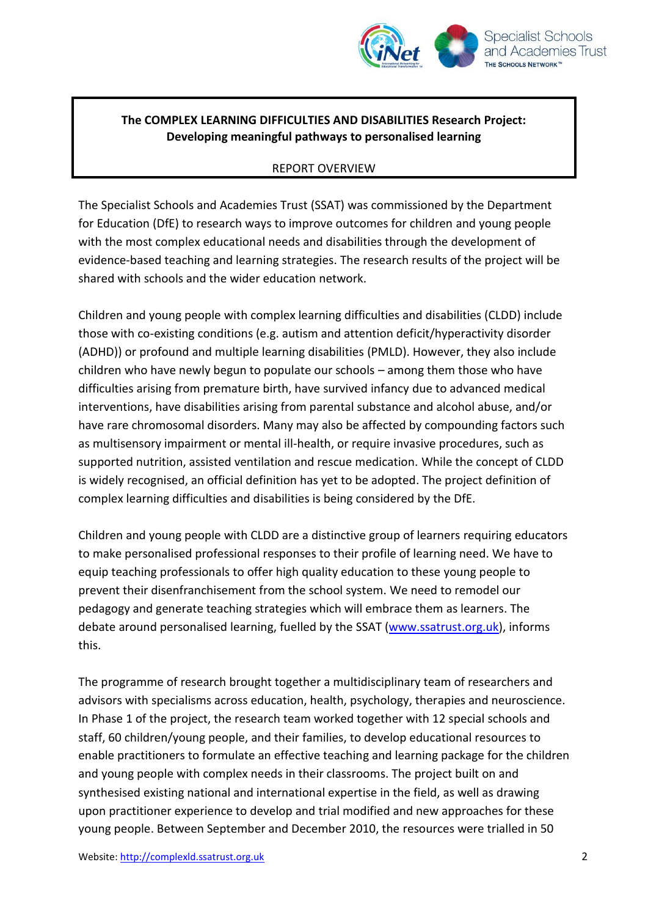

# **The COMPLEX LEARNING DIFFICULTIES AND DISABILITIES Research Project: Developing meaningful pathways to personalised learning**

#### REPORT OVERVIEW

The Specialist Schools and Academies Trust (SSAT) was commissioned by the Department for Education (DfE) to research ways to improve outcomes for children and young people with the most complex educational needs and disabilities through the development of evidence-based teaching and learning strategies. The research results of the project will be shared with schools and the wider education network.

Children and young people with complex learning difficulties and disabilities (CLDD) include those with co-existing conditions (e.g. autism and attention deficit/hyperactivity disorder (ADHD)) or profound and multiple learning disabilities (PMLD). However, they also include children who have newly begun to populate our schools – among them those who have difficulties arising from premature birth, have survived infancy due to advanced medical interventions, have disabilities arising from parental substance and alcohol abuse, and/or have rare chromosomal disorders. Many may also be affected by compounding factors such as multisensory impairment or mental ill-health, or require invasive procedures, such as supported nutrition, assisted ventilation and rescue medication. While the concept of CLDD is widely recognised, an official definition has yet to be adopted. The project definition of complex learning difficulties and disabilities is being considered by the DfE.

Children and young people with CLDD are a distinctive group of learners requiring educators to make personalised professional responses to their profile of learning need. We have to equip teaching professionals to offer high quality education to these young people to prevent their disenfranchisement from the school system. We need to remodel our pedagogy and generate teaching strategies which will embrace them as learners. The debate around personalised learning, fuelled by the SSAT [\(www.ssatrust.org.uk\)](http://www.ssatrust.org.uk/), informs this.

The programme of research brought together a multidisciplinary team of researchers and advisors with specialisms across education, health, psychology, therapies and neuroscience. In Phase 1 of the project, the research team worked together with 12 special schools and staff, 60 children/young people, and their families, to develop educational resources to enable practitioners to formulate an effective teaching and learning package for the children and young people with complex needs in their classrooms. The project built on and synthesised existing national and international expertise in the field, as well as drawing upon practitioner experience to develop and trial modified and new approaches for these young people. Between September and December 2010, the resources were trialled in 50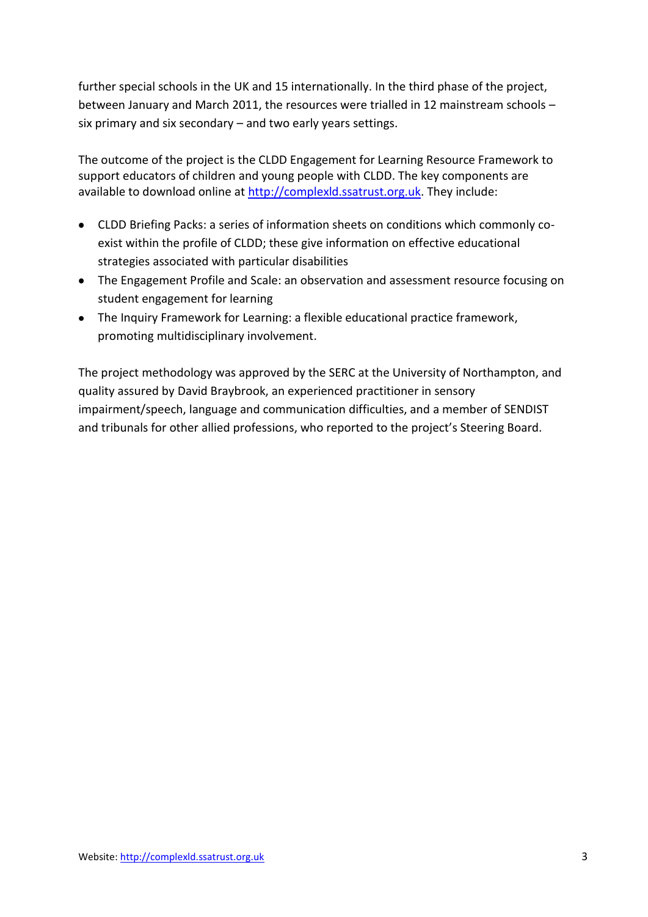further special schools in the UK and 15 internationally. In the third phase of the project, between January and March 2011, the resources were trialled in 12 mainstream schools – six primary and six secondary – and two early years settings.

The outcome of the project is the CLDD Engagement for Learning Resource Framework to support educators of children and young people with CLDD. The key components are available to download online at [http://complexld.ssatrust.org.uk.](http://complexld.ssatrust.org.uk/) They include:

- CLDD Briefing Packs: a series of information sheets on conditions which commonly coexist within the profile of CLDD; these give information on effective educational strategies associated with particular disabilities
- The Engagement Profile and Scale: an observation and assessment resource focusing on student engagement for learning
- The Inquiry Framework for Learning: a flexible educational practice framework, promoting multidisciplinary involvement.

The project methodology was approved by the SERC at the University of Northampton, and quality assured by David Braybrook, an experienced practitioner in sensory impairment/speech, language and communication difficulties, and a member of SENDIST and tribunals for other allied professions, who reported to the project's Steering Board.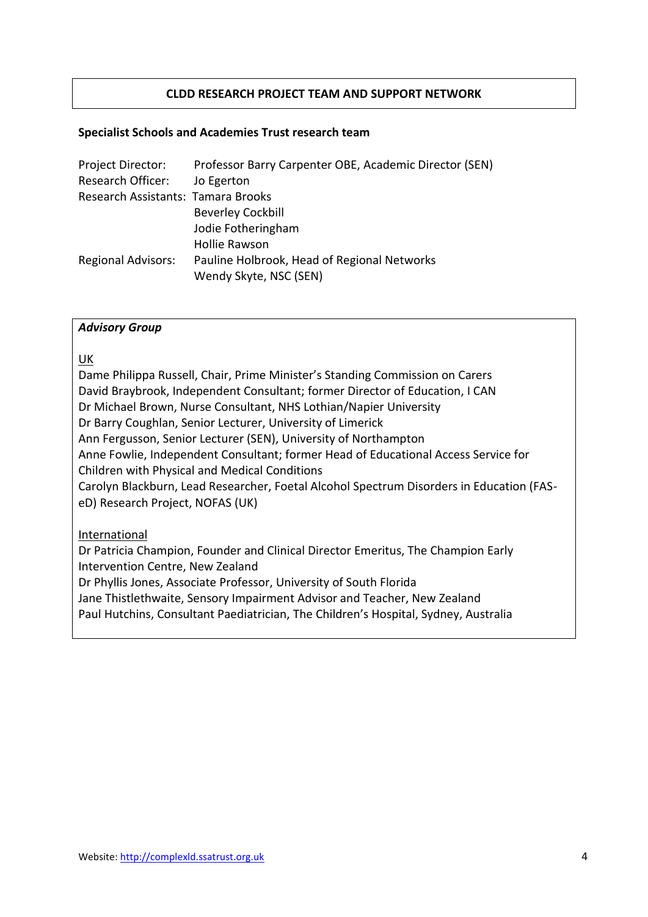# **CLDD RESEARCH PROJECT TEAM AND SUPPORT NETWORK**

#### **Specialist Schools and Academies Trust research team**

| Project Director:                  | Professor Barry Carpenter OBE, Academic Director (SEN) |
|------------------------------------|--------------------------------------------------------|
| Research Officer:                  | Jo Egerton                                             |
| Research Assistants: Tamara Brooks |                                                        |
|                                    | <b>Beverley Cockbill</b>                               |
|                                    | Jodie Fotheringham                                     |
|                                    | <b>Hollie Rawson</b>                                   |
| <b>Regional Advisors:</b>          | Pauline Holbrook, Head of Regional Networks            |
|                                    | Wendy Skyte, NSC (SEN)                                 |

#### *Advisory Group*

#### UK

Dame Philippa Russell, Chair, Prime Minister's Standing Commission on Carers David Braybrook, Independent Consultant; former Director of Education, I CAN Dr Michael Brown, Nurse Consultant, NHS Lothian/Napier University Dr Barry Coughlan, Senior Lecturer, University of Limerick Ann Fergusson, Senior Lecturer (SEN), University of Northampton Anne Fowlie, Independent Consultant; former Head of Educational Access Service for Children with Physical and Medical Conditions Carolyn Blackburn, Lead Researcher, Foetal Alcohol Spectrum Disorders in Education (FASeD) Research Project, NOFAS (UK)

#### International

Dr Patricia Champion, Founder and Clinical Director Emeritus, The Champion Early Intervention Centre, New Zealand Dr Phyllis Jones, Associate Professor, University of South Florida Jane Thistlethwaite, Sensory Impairment Advisor and Teacher, New Zealand Paul Hutchins, Consultant Paediatrician, The Children's Hospital, Sydney, Australia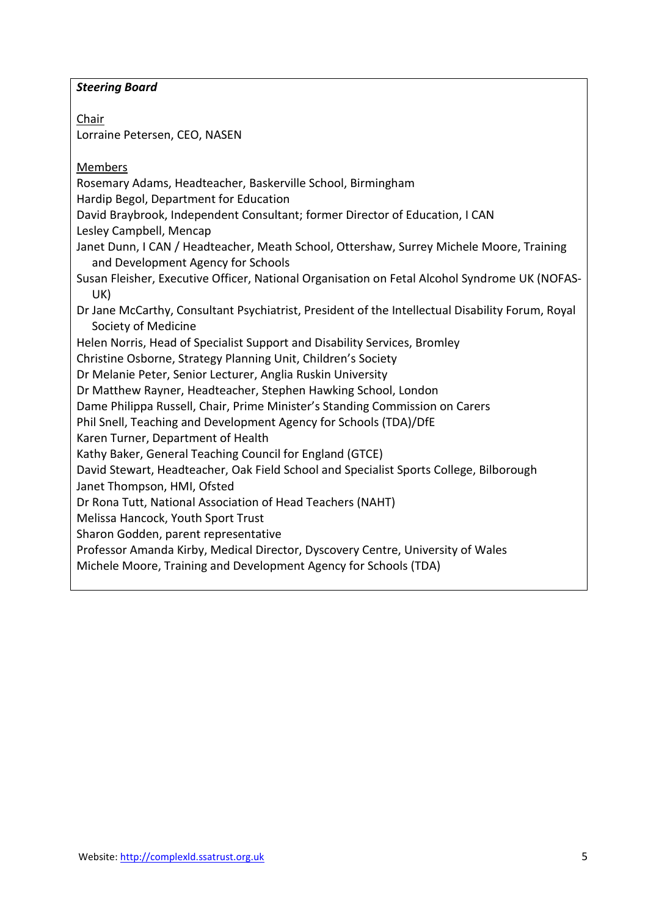### *Steering Board*

Chair Lorraine Petersen, CEO, NASEN

Members

Rosemary Adams, Headteacher, Baskerville School, Birmingham

Hardip Begol, Department for Education

David Braybrook, Independent Consultant; former Director of Education, I CAN

Lesley Campbell, Mencap

- Janet Dunn, I CAN / Headteacher, Meath School, Ottershaw, Surrey Michele Moore, Training and Development Agency for Schools
- Susan Fleisher, Executive Officer, National Organisation on Fetal Alcohol Syndrome UK (NOFAS-UK)
- Dr Jane McCarthy, Consultant Psychiatrist, President of the Intellectual Disability Forum, Royal Society of Medicine

Helen Norris, Head of Specialist Support and Disability Services, Bromley

Christine Osborne, Strategy Planning Unit, Children's Society

Dr Melanie Peter, Senior Lecturer, Anglia Ruskin University

Dr Matthew Rayner, Headteacher, Stephen Hawking School, London

Dame Philippa Russell, Chair, Prime Minister's Standing Commission on Carers

Phil Snell, Teaching and Development Agency for Schools (TDA)/DfE

Karen Turner, Department of Health

Kathy Baker, General Teaching Council for England (GTCE)

David Stewart, Headteacher, Oak Field School and Specialist Sports College, Bilborough

Janet Thompson, HMI, Ofsted

Dr Rona Tutt, National Association of Head Teachers (NAHT)

Melissa Hancock, Youth Sport Trust

Sharon Godden, parent representative

Professor Amanda Kirby, Medical Director, Dyscovery Centre, University of Wales

Michele Moore, Training and Development Agency for Schools (TDA)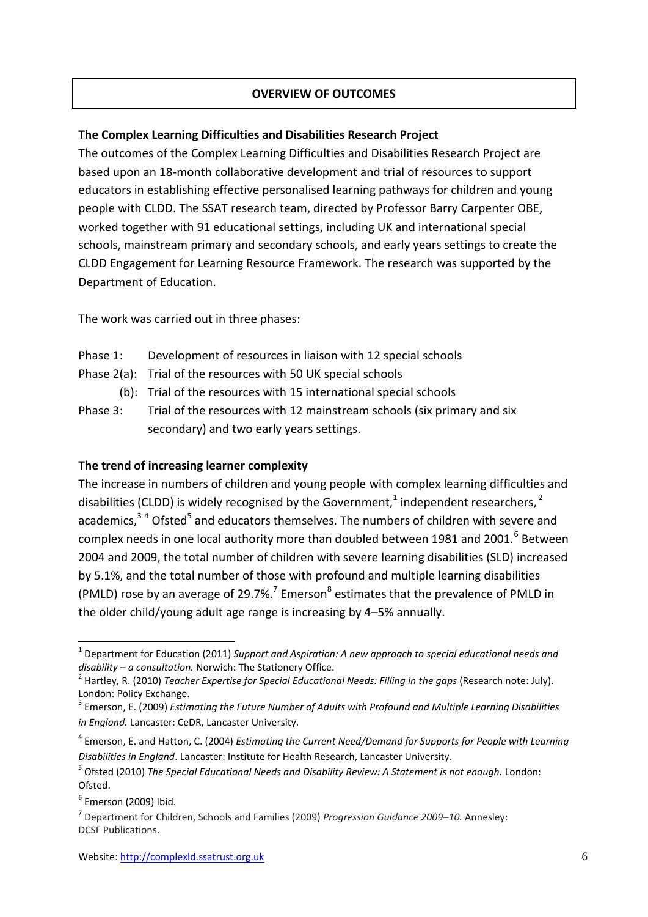### **OVERVIEW OF OUTCOMES**

#### **The Complex Learning Difficulties and Disabilities Research Project**

The outcomes of the Complex Learning Difficulties and Disabilities Research Project are based upon an 18-month collaborative development and trial of resources to support educators in establishing effective personalised learning pathways for children and young people with CLDD. The SSAT research team, directed by Professor Barry Carpenter OBE, worked together with 91 educational settings, including UK and international special schools, mainstream primary and secondary schools, and early years settings to create the CLDD Engagement for Learning Resource Framework. The research was supported by the Department of Education.

The work was carried out in three phases:

- Phase 1: Development of resources in liaison with 12 special schools
- Phase 2(a): Trial of the resources with 50 UK special schools
	- (b): Trial of the resources with 15 international special schools
- Phase 3: Trial of the resources with 12 mainstream schools (six primary and six secondary) and two early years settings.

#### **The trend of increasing learner complexity**

The increase in numbers of children and young people with complex learning difficulties and disabilities (CLDD) is widely recognised by the Government,<sup>1</sup> independent researchers,<sup>2</sup> academics,<sup>34</sup> Ofsted<sup>5</sup> and educators themselves. The numbers of children with severe and complex needs in one local authority more than doubled between 1981 and 2001. $^6$  Between 2004 and 2009, the total number of children with severe learning disabilities (SLD) increased by 5.1%, and the total number of those with profound and multiple learning disabilities (PMLD) rose by an average of 29.7%.<sup>7</sup> Emerson<sup>8</sup> estimates that the prevalence of PMLD in the older child/young adult age range is increasing by 4–5% annually.

**.** 

<sup>&</sup>lt;sup>1</sup> Department for Education (2011) *Support and Aspiration: A new approach to special educational needs and disability – a consultation.* Norwich: The Stationery Office.

<sup>2</sup> Hartley, R. (2010) *Teacher Expertise for Special Educational Needs: Filling in the gaps* (Research note: July). London: Policy Exchange.

<sup>3</sup> Emerson, E. (2009) *Estimating the Future Number of Adults with Profound and Multiple Learning Disabilities in England.* Lancaster: CeDR, Lancaster University.

<sup>4</sup> Emerson, E. and Hatton, C. (2004) *Estimating the Current Need/Demand for Supports for People with Learning Disabilities in England*. Lancaster: Institute for Health Research, Lancaster University.

<sup>&</sup>lt;sup>5</sup> Ofsted (2010) *The Special Educational Needs and Disability Review: A Statement is not enough. London:* Ofsted.

 $<sup>6</sup>$  Emerson (2009) Ibid.</sup>

<sup>7</sup> Department for Children, Schools and Families (2009) *Progression Guidance 2009–10.* Annesley: DCSF Publications.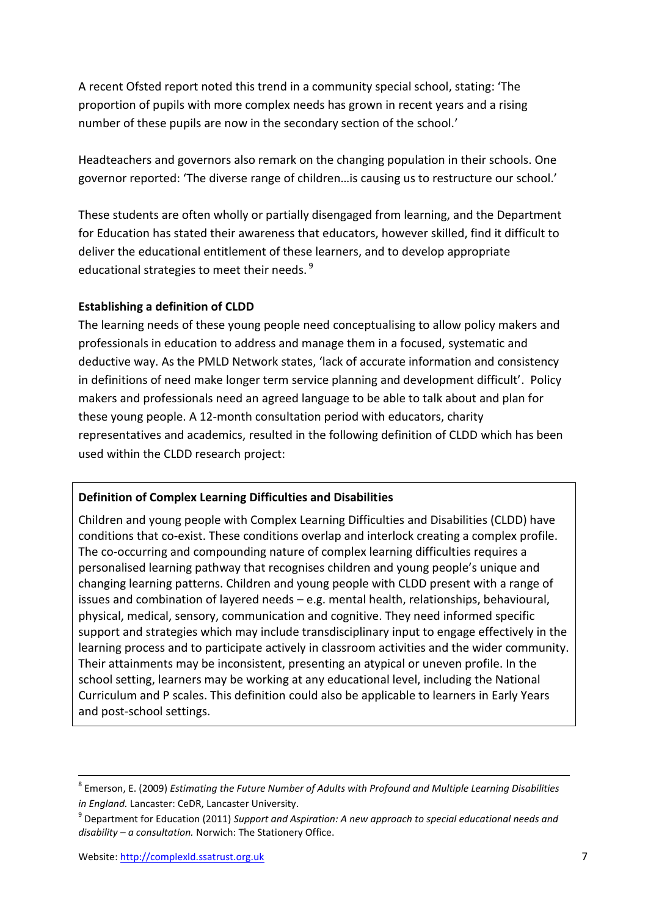A recent Ofsted report noted this trend in a community special school, stating: 'The proportion of pupils with more complex needs has grown in recent years and a rising number of these pupils are now in the secondary section of the school.'

Headteachers and governors also remark on the changing population in their schools. One governor reported: 'The diverse range of children…is causing us to restructure our school.'

These students are often wholly or partially disengaged from learning, and the Department for Education has stated their awareness that educators, however skilled, find it difficult to deliver the educational entitlement of these learners, and to develop appropriate educational strategies to meet their needs. <sup>9</sup>

#### **Establishing a definition of CLDD**

The learning needs of these young people need conceptualising to allow policy makers and professionals in education to address and manage them in a focused, systematic and deductive way. As the PMLD Network states, 'lack of accurate information and consistency in definitions of need make longer term service planning and development difficult'. Policy makers and professionals need an agreed language to be able to talk about and plan for these young people. A 12-month consultation period with educators, charity representatives and academics, resulted in the following definition of CLDD which has been used within the CLDD research project:

#### **Definition of Complex Learning Difficulties and Disabilities**

Children and young people with Complex Learning Difficulties and Disabilities (CLDD) have conditions that co-exist. These conditions overlap and interlock creating a complex profile. The co-occurring and compounding nature of complex learning difficulties requires a personalised learning pathway that recognises children and young people's unique and changing learning patterns. Children and young people with CLDD present with a range of issues and combination of layered needs – e.g. mental health, relationships, behavioural, physical, medical, sensory, communication and cognitive. They need informed specific support and strategies which may include transdisciplinary input to engage effectively in the learning process and to participate actively in classroom activities and the wider community. Their attainments may be inconsistent, presenting an atypical or uneven profile. In the school setting, learners may be working at any educational level, including the National Curriculum and P scales. This definition could also be applicable to learners in Early Years and post-school settings.

 $\overline{a}$ 

<sup>8</sup> Emerson, E. (2009) *Estimating the Future Number of Adults with Profound and Multiple Learning Disabilities in England.* Lancaster: CeDR, Lancaster University.

<sup>9</sup> Department for Education (2011) *Support and Aspiration: A new approach to special educational needs and disability – a consultation.* Norwich: The Stationery Office.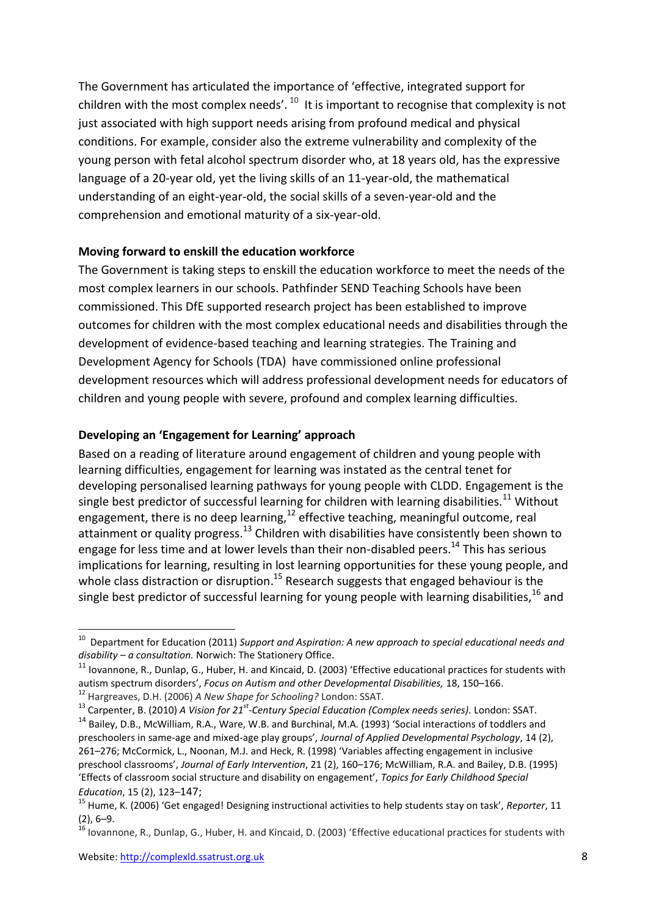The Government has articulated the importance of 'effective, integrated support for children with the most complex needs'.  $^{10}$  It is important to recognise that complexity is not just associated with high support needs arising from profound medical and physical conditions. For example, consider also the extreme vulnerability and complexity of the young person with fetal alcohol spectrum disorder who, at 18 years old, has the expressive language of a 20-year old, yet the living skills of an 11-year-old, the mathematical understanding of an eight-year-old, the social skills of a seven-year-old and the comprehension and emotional maturity of a six-year-old.

#### **Moving forward to enskill the education workforce**

The Government is taking steps to enskill the education workforce to meet the needs of the most complex learners in our schools. Pathfinder SEND Teaching Schools have been commissioned. This DfE supported research project has been established to improve outcomes for children with the most complex educational needs and disabilities through the development of evidence-based teaching and learning strategies. The Training and Development Agency for Schools (TDA) have commissioned online professional development resources which will address professional development needs for educators of children and young people with severe, profound and complex learning difficulties.

# **Developing an 'Engagement for Learning' approach**

Based on a reading of literature around engagement of children and young people with learning difficulties, engagement for learning was instated as the central tenet for developing personalised learning pathways for young people with CLDD. Engagement is the single best predictor of successful learning for children with learning disabilities.<sup>11</sup> Without engagement, there is no deep learning,<sup>12</sup> effective teaching, meaningful outcome, real attainment or quality progress.<sup>13</sup> Children with disabilities have consistently been shown to engage for less time and at lower levels than their non-disabled peers.<sup>14</sup> This has serious implications for learning, resulting in lost learning opportunities for these young people, and whole class distraction or disruption.<sup>15</sup> Research suggests that engaged behaviour is the single best predictor of successful learning for young people with learning disabilities, <sup>16</sup> and

1

<sup>&</sup>lt;sup>10</sup> Department for Education (2011) *Support and Aspiration: A new approach to special educational needs and disability – a consultation.* Norwich: The Stationery Office.

 $11$  Iovannone, R., Dunlap, G., Huber, H. and Kincaid, D. (2003) 'Effective educational practices for students with autism spectrum disorders', *Focus on Autism and other Developmental Disabilities,* 18, 150–166.

<sup>12</sup> Hargreaves, D.H. (2006) *A New Shape for Schooling?* London: SSAT.

<sup>13</sup> Carpenter, B. (2010) *A Vision for 21st-Century Special Education (Complex needs series).* London: SSAT.

<sup>14</sup> Bailey, D.B., McWilliam, R.A., Ware, W.B. and Burchinal, M.A. (1993) 'Social interactions of toddlers and preschoolers in same-age and mixed-age play groups', *Journal of Applied Developmental Psychology*, 14 (2), 261–276; McCormick, L., Noonan, M.J. and Heck, R. (1998) 'Variables affecting engagement in inclusive preschool classrooms', *Journal of Early Intervention*, 21 (2), 160–176; McWilliam, R.A. and Bailey, D.B. (1995) 'Effects of classroom social structure and disability on engagement', *Topics for Early Childhood Special Education*, 15 (2), 123–147;

<sup>15</sup> Hume, K. (2006) 'Get engaged! Designing instructional activities to help students stay on task', *Reporter*, 11  $(2)$ ,  $6-9$ .

<sup>16</sup> Iovannone, R., Dunlap, G., Huber, H. and Kincaid, D. (2003) 'Effective educational practices for students with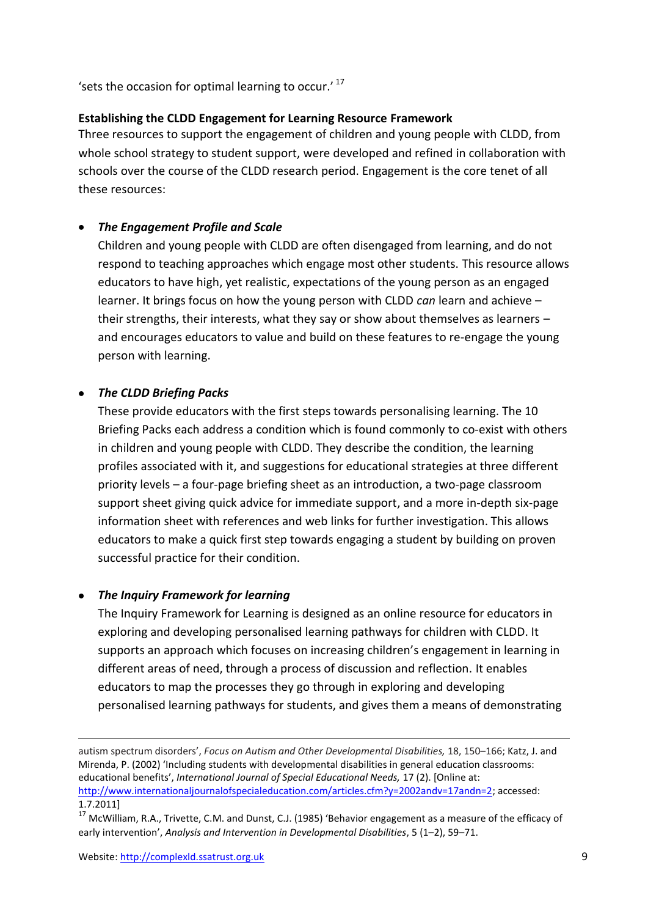'sets the occasion for optimal learning to occur.'<sup>17</sup>

#### **Establishing the CLDD Engagement for Learning Resource Framework**

Three resources to support the engagement of children and young people with CLDD, from whole school strategy to student support, were developed and refined in collaboration with schools over the course of the CLDD research period. Engagement is the core tenet of all these resources:

# *The Engagement Profile and Scale*

Children and young people with CLDD are often disengaged from learning, and do not respond to teaching approaches which engage most other students. This resource allows educators to have high, yet realistic, expectations of the young person as an engaged learner. It brings focus on how the young person with CLDD *can* learn and achieve – their strengths, their interests, what they say or show about themselves as learners – and encourages educators to value and build on these features to re-engage the young person with learning.

#### *The CLDD Briefing Packs*

These provide educators with the first steps towards personalising learning. The 10 Briefing Packs each address a condition which is found commonly to co-exist with others in children and young people with CLDD. They describe the condition, the learning profiles associated with it, and suggestions for educational strategies at three different priority levels – a four-page briefing sheet as an introduction, a two-page classroom support sheet giving quick advice for immediate support, and a more in-depth six-page information sheet with references and web links for further investigation. This allows educators to make a quick first step towards engaging a student by building on proven successful practice for their condition.

# *The Inquiry Framework for learning*

The Inquiry Framework for Learning is designed as an online resource for educators in exploring and developing personalised learning pathways for children with CLDD. It supports an approach which focuses on increasing children's engagement in learning in different areas of need, through a process of discussion and reflection. It enables educators to map the processes they go through in exploring and developing personalised learning pathways for students, and gives them a means of demonstrating

1

autism spectrum disorders', *Focus on Autism and Other Developmental Disabilities,* 18, 150–166; Katz, J. and Mirenda, P. (2002) 'Including students with developmental disabilities in general education classrooms: educational benefits', *International Journal of Special Educational Needs,* 17 (2). [Online at: [http://www.internationaljournalofspecialeducation.com/articles.cfm?y=2002andv=17andn=2;](http://www.internationaljournalofspecialeducation.com/articles.cfm?y=2002&v=17&n=2) accessed: 1.7.2011]

<sup>&</sup>lt;sup>17</sup> McWilliam, R.A., Trivette, C.M. and Dunst, C.J. (1985) 'Behavior engagement as a measure of the efficacy of early intervention', *Analysis and Intervention in Developmental Disabilities*, 5 (1–2), 59–71.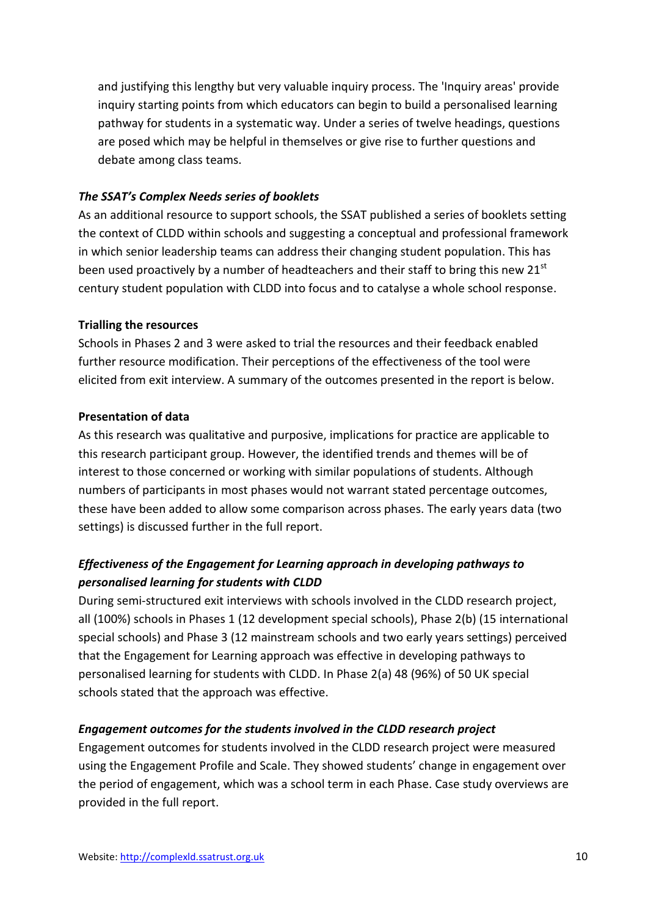and justifying this lengthy but very valuable inquiry process. The 'Inquiry areas' provide inquiry starting points from which educators can begin to build a personalised learning pathway for students in a systematic way. Under a series of twelve headings, questions are posed which may be helpful in themselves or give rise to further questions and debate among class teams.

# *The SSAT's Complex Needs series of booklets*

As an additional resource to support schools, the SSAT published a series of booklets setting the context of CLDD within schools and suggesting a conceptual and professional framework in which senior leadership teams can address their changing student population. This has been used proactively by a number of headteachers and their staff to bring this new 21<sup>st</sup> century student population with CLDD into focus and to catalyse a whole school response.

#### **Trialling the resources**

Schools in Phases 2 and 3 were asked to trial the resources and their feedback enabled further resource modification. Their perceptions of the effectiveness of the tool were elicited from exit interview. A summary of the outcomes presented in the report is below.

#### **Presentation of data**

As this research was qualitative and purposive, implications for practice are applicable to this research participant group. However, the identified trends and themes will be of interest to those concerned or working with similar populations of students. Although numbers of participants in most phases would not warrant stated percentage outcomes, these have been added to allow some comparison across phases. The early years data (two settings) is discussed further in the full report.

# *Effectiveness of the Engagement for Learning approach in developing pathways to personalised learning for students with CLDD*

During semi-structured exit interviews with schools involved in the CLDD research project, all (100%) schools in Phases 1 (12 development special schools), Phase 2(b) (15 international special schools) and Phase 3 (12 mainstream schools and two early years settings) perceived that the Engagement for Learning approach was effective in developing pathways to personalised learning for students with CLDD. In Phase 2(a) 48 (96%) of 50 UK special schools stated that the approach was effective.

#### *Engagement outcomes for the students involved in the CLDD research project*

Engagement outcomes for students involved in the CLDD research project were measured using the Engagement Profile and Scale. They showed students' change in engagement over the period of engagement, which was a school term in each Phase. Case study overviews are provided in the full report.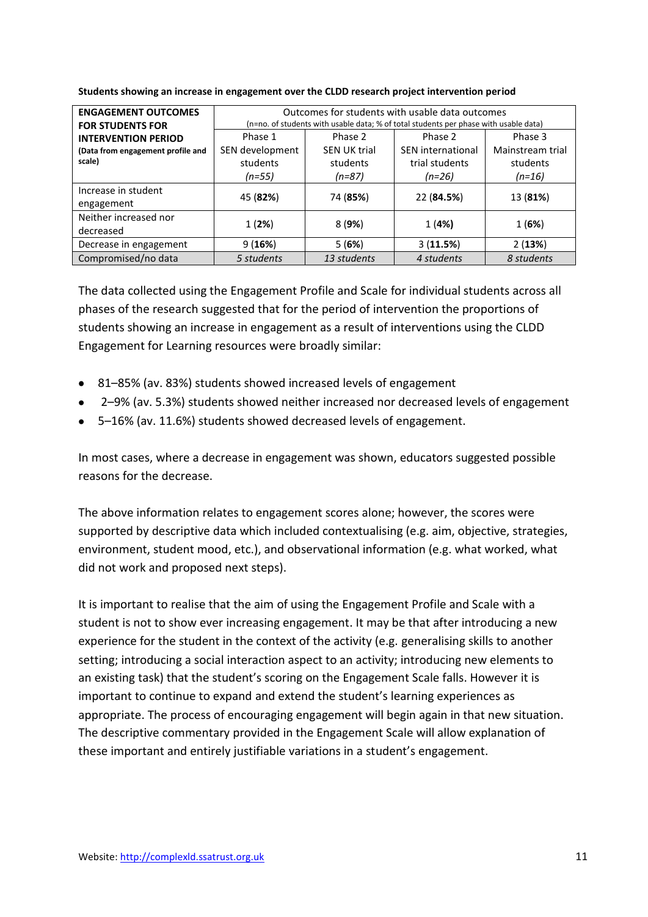| <b>ENGAGEMENT OUTCOMES</b>        |                                                                                      | Outcomes for students with usable data outcomes |                          |                  |  |  |  |
|-----------------------------------|--------------------------------------------------------------------------------------|-------------------------------------------------|--------------------------|------------------|--|--|--|
| <b>FOR STUDENTS FOR</b>           | (n=no. of students with usable data; % of total students per phase with usable data) |                                                 |                          |                  |  |  |  |
| <b>INTERVENTION PERIOD</b>        | Phase 1                                                                              | Phase 2                                         | Phase 2                  | Phase 3          |  |  |  |
| (Data from engagement profile and | SEN development                                                                      | <b>SEN UK trial</b>                             | <b>SEN</b> international | Mainstream trial |  |  |  |
| scale)                            | students                                                                             | students                                        | trial students           | students         |  |  |  |
|                                   | $(n=55)$<br>$(n=87)$<br>$(n=16)$<br>$(n=26)$                                         |                                                 |                          |                  |  |  |  |
| Increase in student               | 45 (82%)                                                                             | 74 (85%)                                        | 22 (84.5%)               | 13 (81%)         |  |  |  |
| engagement                        |                                                                                      |                                                 |                          |                  |  |  |  |
| Neither increased nor             |                                                                                      |                                                 |                          |                  |  |  |  |
| decreased                         | 1(2%)                                                                                | 8(9%)                                           | 1(4%)                    | 1(6%)            |  |  |  |
| Decrease in engagement            | 9(16%)                                                                               | 5(6%)                                           | 3(11.5%)                 | 2(13%)           |  |  |  |
| Compromised/no data               | 5 students                                                                           | 13 students                                     | 4 students               | 8 students       |  |  |  |

**Students showing an increase in engagement over the CLDD research project intervention period**

The data collected using the Engagement Profile and Scale for individual students across all phases of the research suggested that for the period of intervention the proportions of students showing an increase in engagement as a result of interventions using the CLDD Engagement for Learning resources were broadly similar:

- 81–85% (av. 83%) students showed increased levels of engagement
- 2–9% (av. 5.3%) students showed neither increased nor decreased levels of engagement
- 5–16% (av. 11.6%) students showed decreased levels of engagement.

In most cases, where a decrease in engagement was shown, educators suggested possible reasons for the decrease.

The above information relates to engagement scores alone; however, the scores were supported by descriptive data which included contextualising (e.g. aim, objective, strategies, environment, student mood, etc.), and observational information (e.g. what worked, what did not work and proposed next steps).

It is important to realise that the aim of using the Engagement Profile and Scale with a student is not to show ever increasing engagement. It may be that after introducing a new experience for the student in the context of the activity (e.g. generalising skills to another setting; introducing a social interaction aspect to an activity; introducing new elements to an existing task) that the student's scoring on the Engagement Scale falls. However it is important to continue to expand and extend the student's learning experiences as appropriate. The process of encouraging engagement will begin again in that new situation. The descriptive commentary provided in the Engagement Scale will allow explanation of these important and entirely justifiable variations in a student's engagement.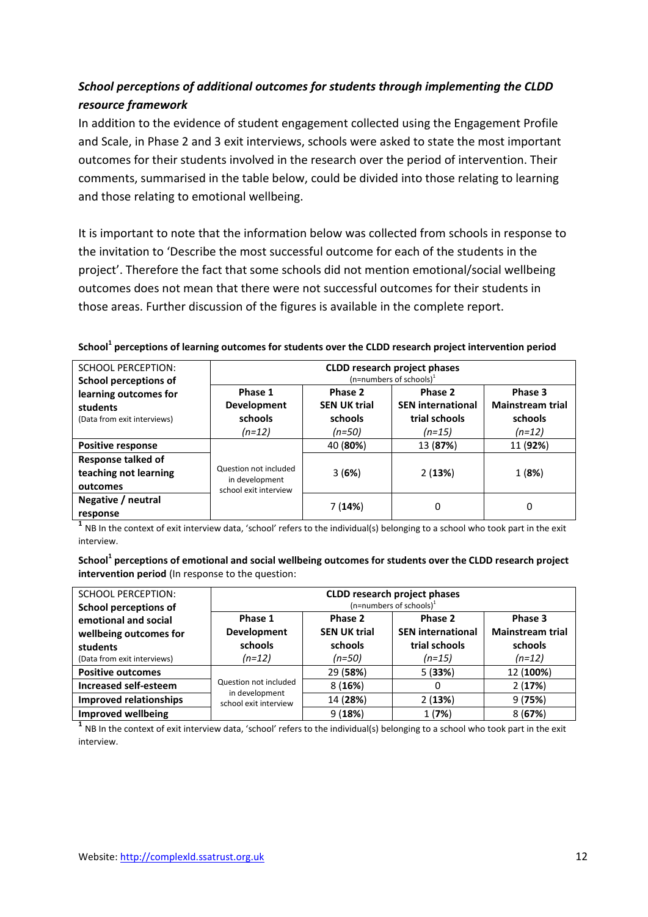# *School perceptions of additional outcomes for students through implementing the CLDD resource framework*

In addition to the evidence of student engagement collected using the Engagement Profile and Scale, in Phase 2 and 3 exit interviews, schools were asked to state the most important outcomes for their students involved in the research over the period of intervention. Their comments, summarised in the table below, could be divided into those relating to learning and those relating to emotional wellbeing.

It is important to note that the information below was collected from schools in response to the invitation to 'Describe the most successful outcome for each of the students in the project'. Therefore the fact that some schools did not mention emotional/social wellbeing outcomes does not mean that there were not successful outcomes for their students in those areas. Further discussion of the figures is available in the complete report.

|  |  |  |  |  |  | School <sup>1</sup> perceptions of learning outcomes for students over the CLDD research project intervention period |
|--|--|--|--|--|--|----------------------------------------------------------------------------------------------------------------------|
|--|--|--|--|--|--|----------------------------------------------------------------------------------------------------------------------|

| <b>SCHOOL PERCEPTION:</b><br><b>School perceptions of</b>        | <b>CLDD research project phases</b><br>$(n=$ numbers of schools) <sup>1</sup> |                                                     |                                                                  |                                                           |
|------------------------------------------------------------------|-------------------------------------------------------------------------------|-----------------------------------------------------|------------------------------------------------------------------|-----------------------------------------------------------|
| learning outcomes for<br>students<br>(Data from exit interviews) | Phase 1<br>Development<br>schools<br>$(n=12)$                                 | Phase 2<br><b>SEN UK trial</b><br>schools<br>(n=50) | Phase 2<br><b>SEN international</b><br>trial schools<br>$(n=15)$ | Phase 3<br><b>Mainstream trial</b><br>schools<br>$(n=12)$ |
| <b>Positive response</b>                                         |                                                                               | 40 (80%)                                            | 13 (87%)                                                         | 11 (92%)                                                  |
| <b>Response talked of</b><br>teaching not learning<br>outcomes   | Question not included<br>in development<br>school exit interview              | 3(6%)                                               | 2(13%)                                                           | 1(8%)                                                     |
| Negative / neutral<br>response                                   |                                                                               | 7(14%)                                              | 0                                                                | 0                                                         |

<sup>1</sup> NB In the context of exit interview data, 'school' refers to the individual(s) belonging to a school who took part in the exit interview.

**School<sup>1</sup> perceptions of emotional and social wellbeing outcomes for students over the CLDD research project intervention period** (In response to the question:

| <b>SCHOOL PERCEPTION:</b><br><b>School perceptions of</b>                                 | <b>CLDD research project phases</b><br>(n=numbers of schools) $1$ |                                                     |                                                                  |                                                           |
|-------------------------------------------------------------------------------------------|-------------------------------------------------------------------|-----------------------------------------------------|------------------------------------------------------------------|-----------------------------------------------------------|
| emotional and social<br>wellbeing outcomes for<br>students<br>(Data from exit interviews) | Phase 1<br><b>Development</b><br>schools<br>$(n=12)$              | Phase 2<br><b>SEN UK trial</b><br>schools<br>(n=50) | Phase 2<br><b>SEN international</b><br>trial schools<br>$(n=15)$ | Phase 3<br><b>Mainstream trial</b><br>schools<br>$(n=12)$ |
| <b>Positive outcomes</b>                                                                  |                                                                   | 29 (58%)                                            | 5(33%)                                                           | 12 (100%)                                                 |
| <b>Increased self-esteem</b>                                                              | Question not included<br>in development<br>school exit interview  | 8(16%)                                              | 0                                                                | 2(17%)                                                    |
| <b>Improved relationships</b>                                                             |                                                                   | 14 (28%)                                            | 2(13%)                                                           | 9(75%)                                                    |
| <b>Improved wellbeing</b>                                                                 |                                                                   | 9(18%)                                              | 1(7%)                                                            | 8(67%)                                                    |

<sup>1</sup> NB In the context of exit interview data, 'school' refers to the individual(s) belonging to a school who took part in the exit interview.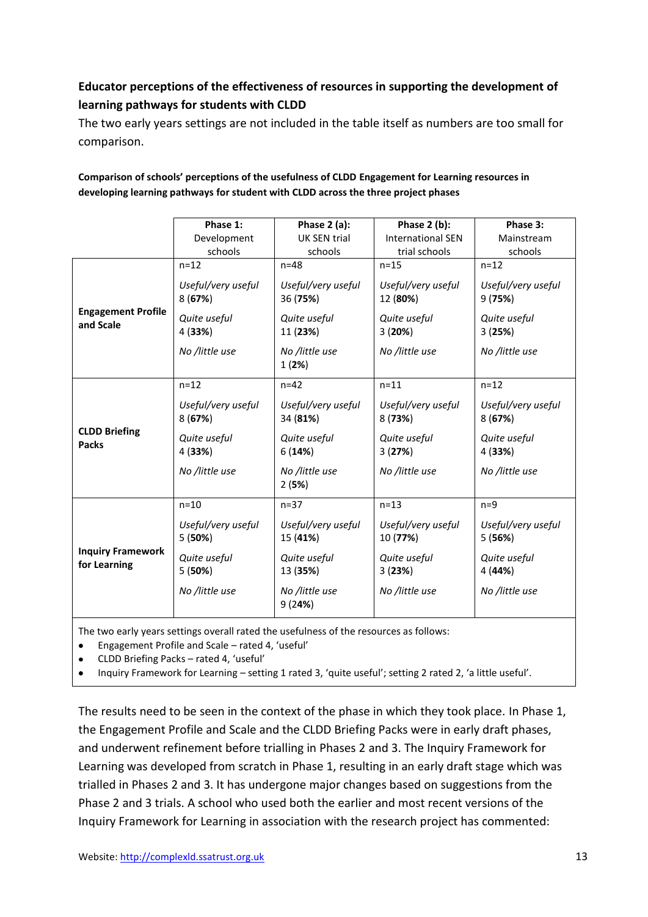# **Educator perceptions of the effectiveness of resources in supporting the development of learning pathways for students with CLDD**

The two early years settings are not included in the table itself as numbers are too small for comparison.

|                                          | Phase 1:                     | Phase $2$ (a):                 | Phase 2 (b):                   | Phase 3:                     |  |  |
|------------------------------------------|------------------------------|--------------------------------|--------------------------------|------------------------------|--|--|
|                                          | Development                  | <b>UK SEN trial</b>            | <b>International SEN</b>       | Mainstream                   |  |  |
|                                          | schools                      | schools                        | trial schools                  | schools                      |  |  |
|                                          | $n = 12$                     | $n=48$                         | $n=15$                         | $n = 12$                     |  |  |
|                                          | Useful/very useful<br>8(67%) | Useful/very useful<br>36 (75%) | Useful/very useful<br>12 (80%) | Useful/very useful<br>9(75%) |  |  |
| <b>Engagement Profile</b><br>and Scale   | Quite useful<br>4 (33%)      | Quite useful<br>11 (23%)       | Quite useful<br>3(20%)         | Quite useful<br>3(25%)       |  |  |
|                                          | No /little use               | No /little use<br>1(2%)        | No /little use                 | No /little use               |  |  |
|                                          | $n = 12$                     | $n=42$                         | $n=11$                         | $n=12$                       |  |  |
| <b>CLDD Briefing</b><br><b>Packs</b>     | Useful/very useful<br>8(67%) | Useful/very useful<br>34 (81%) | Useful/very useful<br>8(73%)   | Useful/very useful<br>8(67%) |  |  |
|                                          | Quite useful<br>4 (33%)      | Quite useful<br>6(14%)         | Quite useful<br>3(27%)         | Quite useful<br>4 (33%)      |  |  |
|                                          | No /little use               | No /little use<br>2(5%)        | No /little use                 | No /little use               |  |  |
|                                          | $n=10$                       | $n=37$                         | $n=13$                         | $n=9$                        |  |  |
| <b>Inquiry Framework</b><br>for Learning | Useful/very useful<br>5(50%) | Useful/very useful<br>15 (41%) | Useful/very useful<br>10 (77%) | Useful/very useful<br>5(56%) |  |  |
|                                          | Quite useful<br>5(50%)       | Quite useful<br>13 (35%)       | Quite useful<br>3(23%)         | Quite useful<br>4 (44%)      |  |  |
|                                          | No /little use               | No /little use<br>9(24%)       | No /little use                 | No /little use               |  |  |

#### **Comparison of schools' perceptions of the usefulness of CLDD Engagement for Learning resources in developing learning pathways for student with CLDD across the three project phases**

The two early years settings overall rated the usefulness of the resources as follows:

Engagement Profile and Scale – rated 4, 'useful'  $\bullet$ 

CLDD Briefing Packs – rated 4, 'useful'

Inquiry Framework for Learning – setting 1 rated 3, 'quite useful'; setting 2 rated 2, 'a little useful'.

The results need to be seen in the context of the phase in which they took place. In Phase 1, the Engagement Profile and Scale and the CLDD Briefing Packs were in early draft phases, and underwent refinement before trialling in Phases 2 and 3. The Inquiry Framework for Learning was developed from scratch in Phase 1, resulting in an early draft stage which was trialled in Phases 2 and 3. It has undergone major changes based on suggestions from the Phase 2 and 3 trials. A school who used both the earlier and most recent versions of the Inquiry Framework for Learning in association with the research project has commented: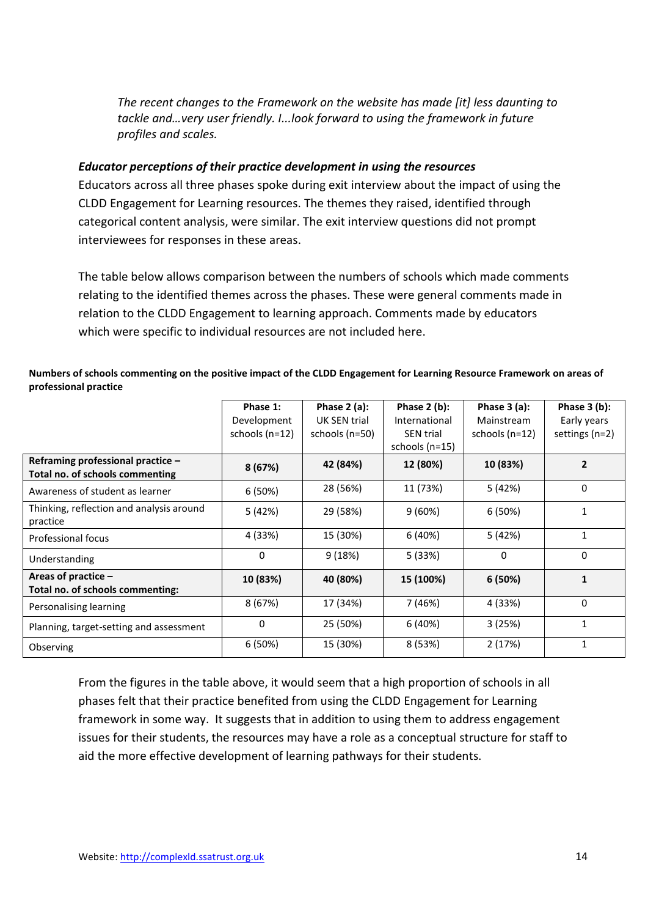*The recent changes to the Framework on the website has made [it] less daunting to tackle and…very user friendly. I...look forward to using the framework in future profiles and scales.* 

### *Educator perceptions of their practice development in using the resources*

Educators across all three phases spoke during exit interview about the impact of using the CLDD Engagement for Learning resources. The themes they raised, identified through categorical content analysis, were similar. The exit interview questions did not prompt interviewees for responses in these areas.

The table below allows comparison between the numbers of schools which made comments relating to the identified themes across the phases. These were general comments made in relation to the CLDD Engagement to learning approach. Comments made by educators which were specific to individual resources are not included here.

#### **Numbers of schools commenting on the positive impact of the CLDD Engagement for Learning Resource Framework on areas of professional practice**

|                                                                      | Phase 1:<br>Development<br>schools $(n=12)$ | Phase $2$ (a):<br>UK SEN trial<br>schools (n=50) | Phase $2(b)$ :<br>International<br><b>SEN trial</b><br>schools $(n=15)$ | Phase $3$ (a):<br>Mainstream<br>schools $(n=12)$ | Phase $3(b)$ :<br>Early years<br>settings $(n=2)$ |
|----------------------------------------------------------------------|---------------------------------------------|--------------------------------------------------|-------------------------------------------------------------------------|--------------------------------------------------|---------------------------------------------------|
| Reframing professional practice -<br>Total no. of schools commenting | 8(67%)                                      | 42 (84%)                                         | 12 (80%)                                                                | 10 (83%)                                         | $\overline{\phantom{a}}$                          |
| Awareness of student as learner                                      | 6(50%)                                      | 28 (56%)                                         | 11 (73%)                                                                | 5 (42%)                                          | $\mathbf 0$                                       |
| Thinking, reflection and analysis around<br>practice                 | 5 (42%)                                     | 29 (58%)                                         | 9(60%)                                                                  | 6(50%)                                           | 1                                                 |
| Professional focus                                                   | 4 (33%)                                     | 15 (30%)                                         | 6(40%)                                                                  | 5 (42%)                                          | $\mathbf{1}$                                      |
| Understanding                                                        | 0                                           | 9(18%)                                           | 5 (33%)                                                                 | 0                                                | $\mathbf 0$                                       |
| Areas of practice $-$<br>Total no. of schools commenting:            | 10 (83%)                                    | 40 (80%)                                         | 15 (100%)                                                               | 6 (50%)                                          | 1                                                 |
| Personalising learning                                               | 8(67%)                                      | 17 (34%)                                         | 7 (46%)                                                                 | 4 (33%)                                          | $\mathbf 0$                                       |
| Planning, target-setting and assessment                              | 0                                           | 25 (50%)                                         | 6 (40%)                                                                 | 3(25%)                                           | $\mathbf{1}$                                      |
| Observing                                                            | 6 (50%)                                     | 15 (30%)                                         | 8 (53%)                                                                 | 2(17%)                                           | $\mathbf{1}$                                      |

From the figures in the table above, it would seem that a high proportion of schools in all phases felt that their practice benefited from using the CLDD Engagement for Learning framework in some way. It suggests that in addition to using them to address engagement issues for their students, the resources may have a role as a conceptual structure for staff to aid the more effective development of learning pathways for their students.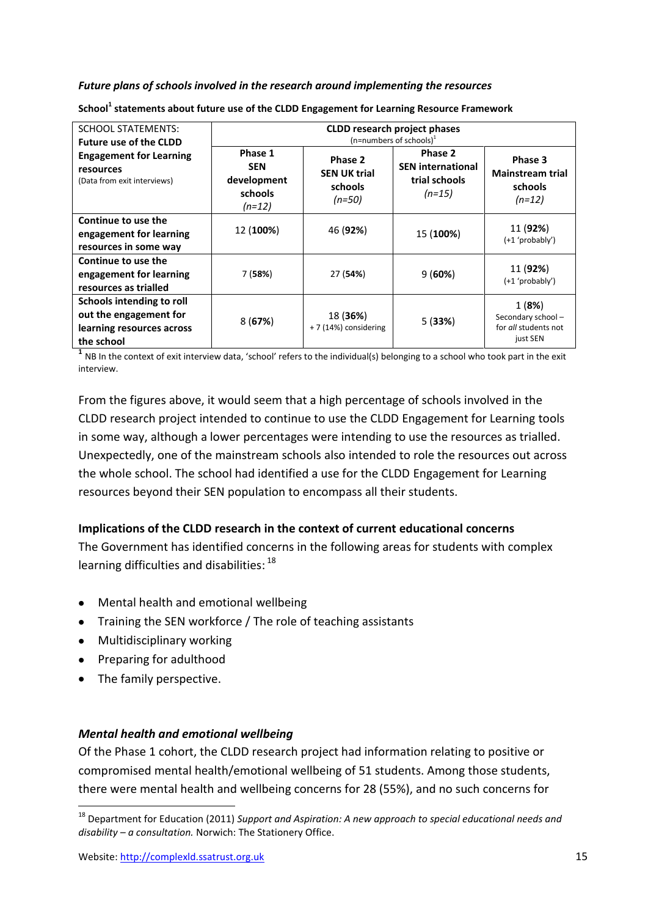#### *Future plans of schools involved in the research around implementing the resources*

| <b>SCHOOL STATEMENTS:</b><br><b>Future use of the CLDD</b>                                     | <b>CLDD research project phases</b><br>$(n=$ numbers of schools) <sup>1</sup>                                        |                                   |                                                                  |                                                                |  |
|------------------------------------------------------------------------------------------------|----------------------------------------------------------------------------------------------------------------------|-----------------------------------|------------------------------------------------------------------|----------------------------------------------------------------|--|
| <b>Engagement for Learning</b><br>resources<br>(Data from exit interviews)                     | Phase 1<br>Phase 2<br><b>SEN</b><br><b>SEN UK trial</b><br>development<br>schools<br>schools<br>$(n=50)$<br>$(n=12)$ |                                   | Phase 2<br><b>SEN international</b><br>trial schools<br>$(n=15)$ | Phase 3<br><b>Mainstream trial</b><br>schools<br>$(n=12)$      |  |
| Continue to use the<br>engagement for learning<br>resources in some way                        | 12 (100%)                                                                                                            | 46 (92%)                          | 15 (100%)                                                        | 11 (92%)<br>$(+1$ 'probably')                                  |  |
| Continue to use the<br>engagement for learning<br>resources as trialled                        | 7 (58%)                                                                                                              | 27 (54%)                          | 9(60%)                                                           | 11 (92%)<br>$(+1$ 'probably')                                  |  |
| Schools intending to roll<br>out the engagement for<br>learning resources across<br>the school | 8(67%)                                                                                                               | 18 (36%)<br>+ 7 (14%) considering | 5(33%)                                                           | 1(8%)<br>Secondary school-<br>for all students not<br>just SEN |  |

**School<sup>1</sup> statements about future use of the CLDD Engagement for Learning Resource Framework**

<sup>1</sup> NB In the context of exit interview data, 'school' refers to the individual(s) belonging to a school who took part in the exit interview.

From the figures above, it would seem that a high percentage of schools involved in the CLDD research project intended to continue to use the CLDD Engagement for Learning tools in some way, although a lower percentages were intending to use the resources as trialled. Unexpectedly, one of the mainstream schools also intended to role the resources out across the whole school. The school had identified a use for the CLDD Engagement for Learning resources beyond their SEN population to encompass all their students.

#### **Implications of the CLDD research in the context of current educational concerns**

The Government has identified concerns in the following areas for students with complex learning difficulties and disabilities: <sup>18</sup>

- Mental health and emotional wellbeing
- Training the SEN workforce / The role of teaching assistants
- Multidisciplinary working
- Preparing for adulthood
- The family perspective.

 $\overline{a}$ 

#### *Mental health and emotional wellbeing*

Of the Phase 1 cohort, the CLDD research project had information relating to positive or compromised mental health/emotional wellbeing of 51 students. Among those students, there were mental health and wellbeing concerns for 28 (55%), and no such concerns for

<sup>18</sup> Department for Education (2011) *Support and Aspiration: A new approach to special educational needs and disability – a consultation.* Norwich: The Stationery Office.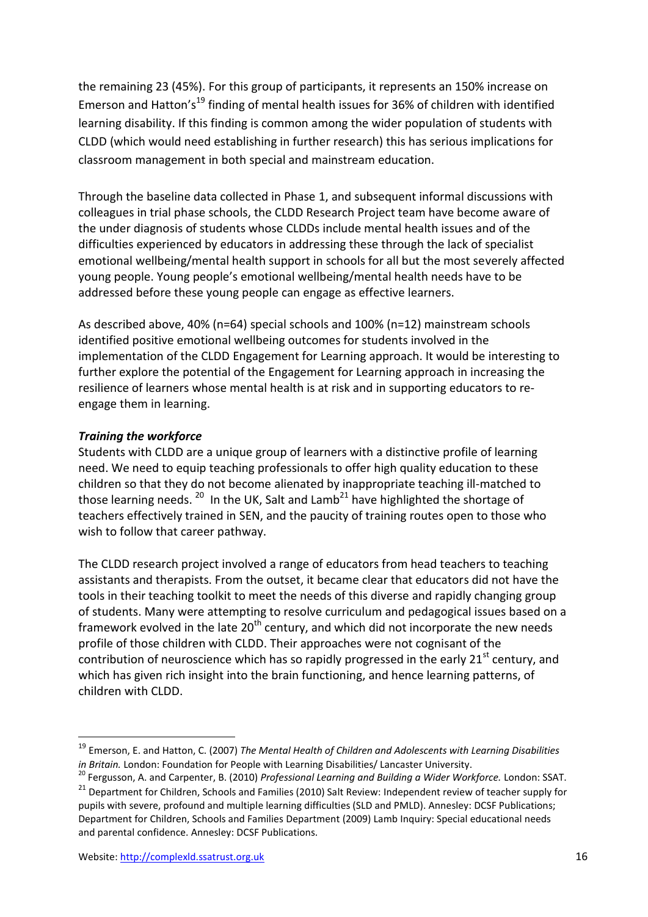the remaining 23 (45%). For this group of participants, it represents an 150% increase on Emerson and Hatton's<sup>19</sup> finding of mental health issues for 36% of children with identified learning disability. If this finding is common among the wider population of students with CLDD (which would need establishing in further research) this has serious implications for classroom management in both special and mainstream education.

Through the baseline data collected in Phase 1, and subsequent informal discussions with colleagues in trial phase schools, the CLDD Research Project team have become aware of the under diagnosis of students whose CLDDs include mental health issues and of the difficulties experienced by educators in addressing these through the lack of specialist emotional wellbeing/mental health support in schools for all but the most severely affected young people. Young people's emotional wellbeing/mental health needs have to be addressed before these young people can engage as effective learners.

As described above, 40% (n=64) special schools and 100% (n=12) mainstream schools identified positive emotional wellbeing outcomes for students involved in the implementation of the CLDD Engagement for Learning approach. It would be interesting to further explore the potential of the Engagement for Learning approach in increasing the resilience of learners whose mental health is at risk and in supporting educators to reengage them in learning.

# *Training the workforce*

Students with CLDD are a unique group of learners with a distinctive profile of learning need. We need to equip teaching professionals to offer high quality education to these children so that they do not become alienated by inappropriate teaching ill-matched to those learning needs.  $^{20}$  In the UK, Salt and Lamb<sup>21</sup> have highlighted the shortage of teachers effectively trained in SEN, and the paucity of training routes open to those who wish to follow that career pathway.

The CLDD research project involved a range of educators from head teachers to teaching assistants and therapists. From the outset, it became clear that educators did not have the tools in their teaching toolkit to meet the needs of this diverse and rapidly changing group of students. Many were attempting to resolve curriculum and pedagogical issues based on a framework evolved in the late  $20<sup>th</sup>$  century, and which did not incorporate the new needs profile of those children with CLDD. Their approaches were not cognisant of the contribution of neuroscience which has so rapidly progressed in the early  $21<sup>st</sup>$  century, and which has given rich insight into the brain functioning, and hence learning patterns, of children with CLDD.

**.** 

<sup>19</sup> Emerson, E. and Hatton, C. (2007) *The Mental Health of Children and Adolescents with Learning Disabilities in Britain.* London: Foundation for People with Learning Disabilities/ Lancaster University.

<sup>20</sup> Fergusson, A. and Carpenter, B. (2010) *Professional Learning and Building a Wider Workforce.* London: SSAT.

<sup>&</sup>lt;sup>21</sup> Department for Children, Schools and Families (2010) Salt Review: Independent review of teacher supply for pupils with severe, profound and multiple learning difficulties (SLD and PMLD). Annesley: DCSF Publications; Department for Children, Schools and Families Department (2009) Lamb Inquiry: Special educational needs and parental confidence. Annesley: DCSF Publications.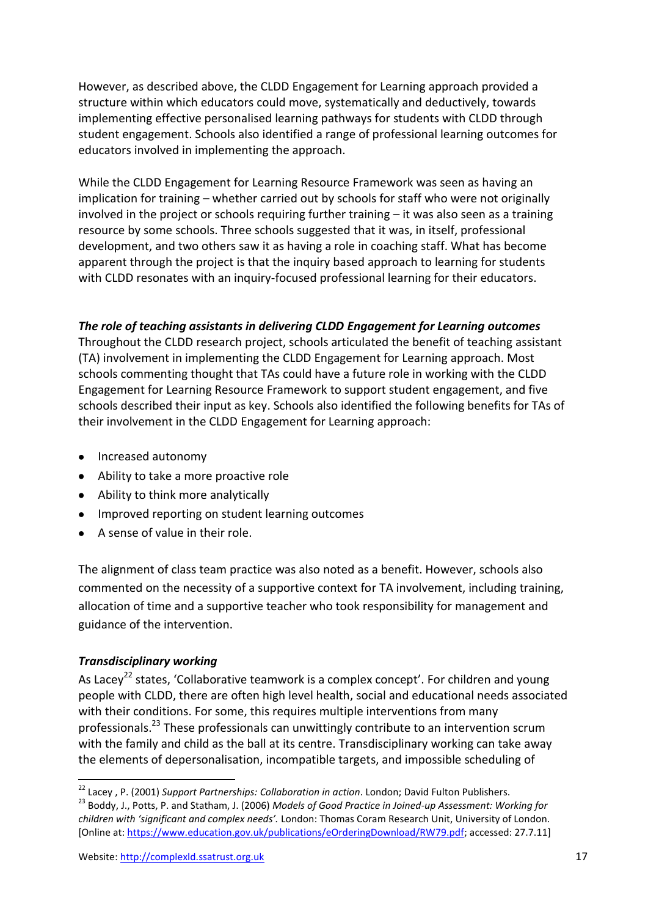However, as described above, the CLDD Engagement for Learning approach provided a structure within which educators could move, systematically and deductively, towards implementing effective personalised learning pathways for students with CLDD through student engagement. Schools also identified a range of professional learning outcomes for educators involved in implementing the approach.

While the CLDD Engagement for Learning Resource Framework was seen as having an implication for training – whether carried out by schools for staff who were not originally involved in the project or schools requiring further training – it was also seen as a training resource by some schools. Three schools suggested that it was, in itself, professional development, and two others saw it as having a role in coaching staff. What has become apparent through the project is that the inquiry based approach to learning for students with CLDD resonates with an inquiry-focused professional learning for their educators.

#### *The role of teaching assistants in delivering CLDD Engagement for Learning outcomes*

Throughout the CLDD research project, schools articulated the benefit of teaching assistant (TA) involvement in implementing the CLDD Engagement for Learning approach. Most schools commenting thought that TAs could have a future role in working with the CLDD Engagement for Learning Resource Framework to support student engagement, and five schools described their input as key. Schools also identified the following benefits for TAs of their involvement in the CLDD Engagement for Learning approach:

- Increased autonomy
- Ability to take a more proactive role
- Ability to think more analytically
- Improved reporting on student learning outcomes
- A sense of value in their role.

The alignment of class team practice was also noted as a benefit. However, schools also commented on the necessity of a supportive context for TA involvement, including training, allocation of time and a supportive teacher who took responsibility for management and guidance of the intervention.

# *Transdisciplinary working*

1

As Lacey<sup>22</sup> states, 'Collaborative teamwork is a complex concept'. For children and young people with CLDD, there are often high level health, social and educational needs associated with their conditions. For some, this requires multiple interventions from many professionals.<sup>23</sup> These professionals can unwittingly contribute to an intervention scrum with the family and child as the ball at its centre. Transdisciplinary working can take away the elements of depersonalisation, incompatible targets, and impossible scheduling of

<sup>22</sup> Lacey , P. (2001) *Support Partnerships: Collaboration in action*. London; David Fulton Publishers. <sup>23</sup> Boddy, J., Potts, P. and Statham, J. (2006) *Models of Good Practice in Joined-up Assessment: Working for children with 'significant and complex needs'.* London: Thomas Coram Research Unit, University of London. [Online at: [https://www.education.gov.uk/publications/eOrderingDownload/RW79.pdf;](https://www.education.gov.uk/publications/eOrderingDownload/RW79.pdf) accessed: 27.7.11]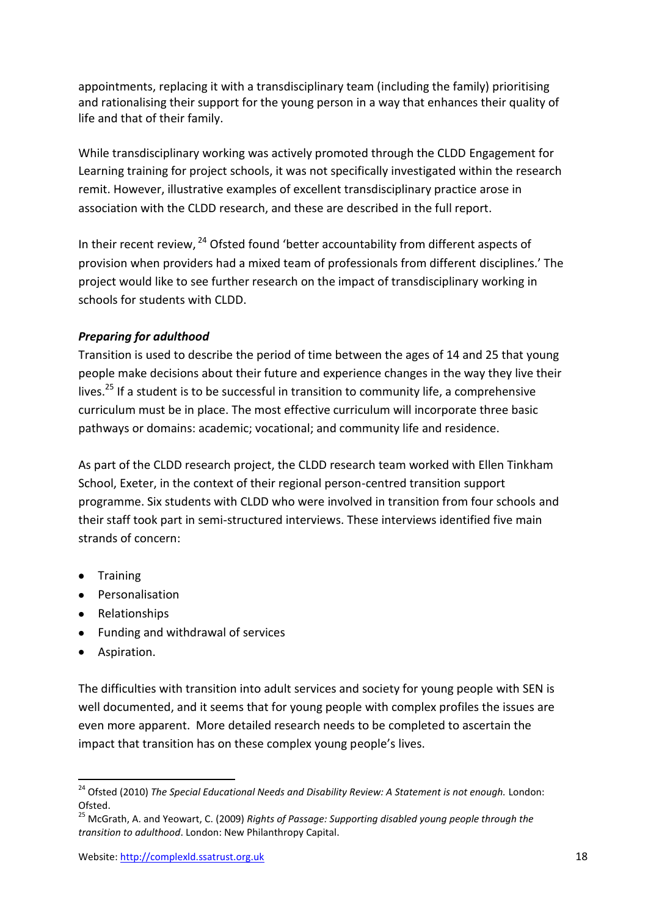appointments, replacing it with a transdisciplinary team (including the family) prioritising and rationalising their support for the young person in a way that enhances their quality of life and that of their family.

While transdisciplinary working was actively promoted through the CLDD Engagement for Learning training for project schools, it was not specifically investigated within the research remit. However, illustrative examples of excellent transdisciplinary practice arose in association with the CLDD research, and these are described in the full report.

In their recent review,  $24$  Ofsted found 'better accountability from different aspects of provision when providers had a mixed team of professionals from different disciplines.' The project would like to see further research on the impact of transdisciplinary working in schools for students with CLDD.

# *Preparing for adulthood*

Transition is used to describe the period of time between the ages of 14 and 25 that young people make decisions about their future and experience changes in the way they live their lives.<sup>25</sup> If a student is to be successful in transition to community life, a comprehensive curriculum must be in place. The most effective curriculum will incorporate three basic pathways or domains: academic; vocational; and community life and residence.

As part of the CLDD research project, the CLDD research team worked with Ellen Tinkham School, Exeter, in the context of their regional person-centred transition support programme. Six students with CLDD who were involved in transition from four schools and their staff took part in semi-structured interviews. These interviews identified five main strands of concern:

- **•** Training
- **•** Personalisation
- Relationships
- Funding and withdrawal of services
- Aspiration.

1

The difficulties with transition into adult services and society for young people with SEN is well documented, and it seems that for young people with complex profiles the issues are even more apparent. More detailed research needs to be completed to ascertain the impact that transition has on these complex young people's lives.

<sup>&</sup>lt;sup>24</sup> Ofsted (2010) *The Special Educational Needs and Disability Review: A Statement is not enough. London:* Ofsted.

<sup>25</sup> McGrath, A. and Yeowart, C. (2009) *Rights of Passage: Supporting disabled young people through the transition to adulthood*. London: New Philanthropy Capital.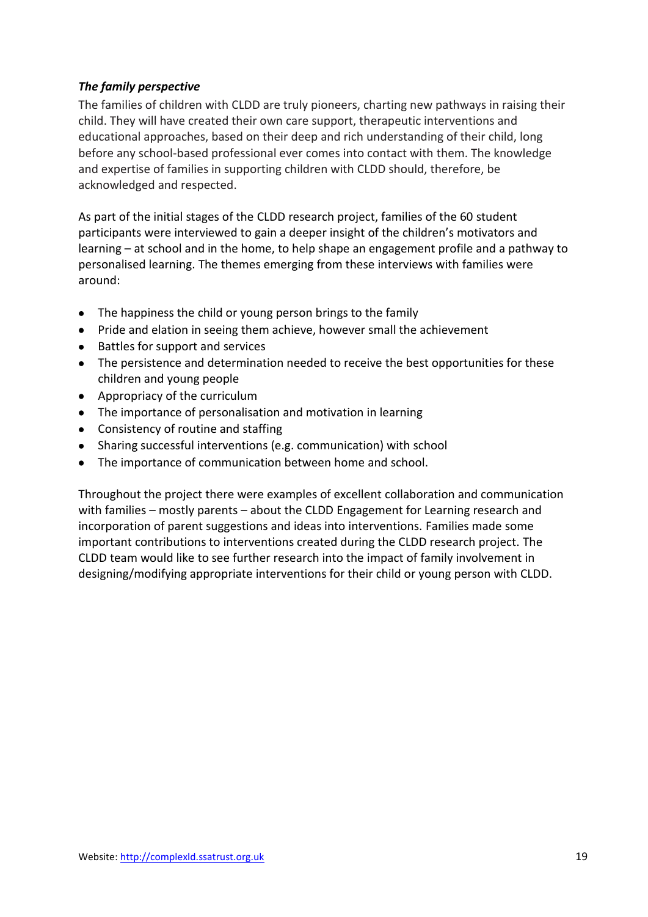# *The family perspective*

The families of children with CLDD are truly pioneers, charting new pathways in raising their child. They will have created their own care support, therapeutic interventions and educational approaches, based on their deep and rich understanding of their child, long before any school-based professional ever comes into contact with them. The knowledge and expertise of families in supporting children with CLDD should, therefore, be acknowledged and respected.

As part of the initial stages of the CLDD research project, families of the 60 student participants were interviewed to gain a deeper insight of the children's motivators and learning – at school and in the home, to help shape an engagement profile and a pathway to personalised learning. The themes emerging from these interviews with families were around:

- The happiness the child or young person brings to the family
- Pride and elation in seeing them achieve, however small the achievement
- Battles for support and services
- The persistence and determination needed to receive the best opportunities for these children and young people
- Appropriacy of the curriculum
- The importance of personalisation and motivation in learning
- Consistency of routine and staffing
- Sharing successful interventions (e.g. communication) with school
- The importance of communication between home and school.

Throughout the project there were examples of excellent collaboration and communication with families – mostly parents – about the CLDD Engagement for Learning research and incorporation of parent suggestions and ideas into interventions. Families made some important contributions to interventions created during the CLDD research project. The CLDD team would like to see further research into the impact of family involvement in designing/modifying appropriate interventions for their child or young person with CLDD.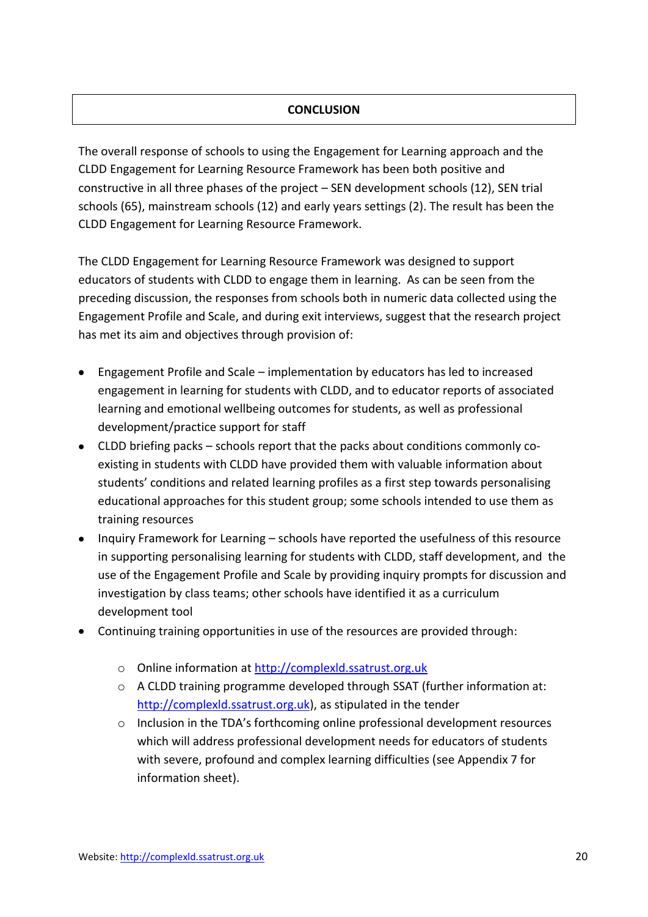# **CONCLUSION**

The overall response of schools to using the Engagement for Learning approach and the CLDD Engagement for Learning Resource Framework has been both positive and constructive in all three phases of the project – SEN development schools (12), SEN trial schools (65), mainstream schools (12) and early years settings (2). The result has been the CLDD Engagement for Learning Resource Framework.

The CLDD Engagement for Learning Resource Framework was designed to support educators of students with CLDD to engage them in learning. As can be seen from the preceding discussion, the responses from schools both in numeric data collected using the Engagement Profile and Scale, and during exit interviews, suggest that the research project has met its aim and objectives through provision of:

- Engagement Profile and Scale implementation by educators has led to increased engagement in learning for students with CLDD, and to educator reports of associated learning and emotional wellbeing outcomes for students, as well as professional development/practice support for staff
- CLDD briefing packs schools report that the packs about conditions commonly coexisting in students with CLDD have provided them with valuable information about students' conditions and related learning profiles as a first step towards personalising educational approaches for this student group; some schools intended to use them as training resources
- Inquiry Framework for Learning schools have reported the usefulness of this resource in supporting personalising learning for students with CLDD, staff development, and the use of the Engagement Profile and Scale by providing inquiry prompts for discussion and investigation by class teams; other schools have identified it as a curriculum development tool
- Continuing training opportunities in use of the resources are provided through:
	- o Online information at [http://complexld.ssatrust.org.uk](http://complexld.ssatrust.org.uk/)
	- o A CLDD training programme developed through SSAT (further information at: [http://complexld.ssatrust.org.uk\)](http://complexld.ssatrust.org.uk/), as stipulated in the tender
	- o Inclusion in the TDA's forthcoming online professional development resources which will address professional development needs for educators of students with severe, profound and complex learning difficulties (see Appendix 7 for information sheet).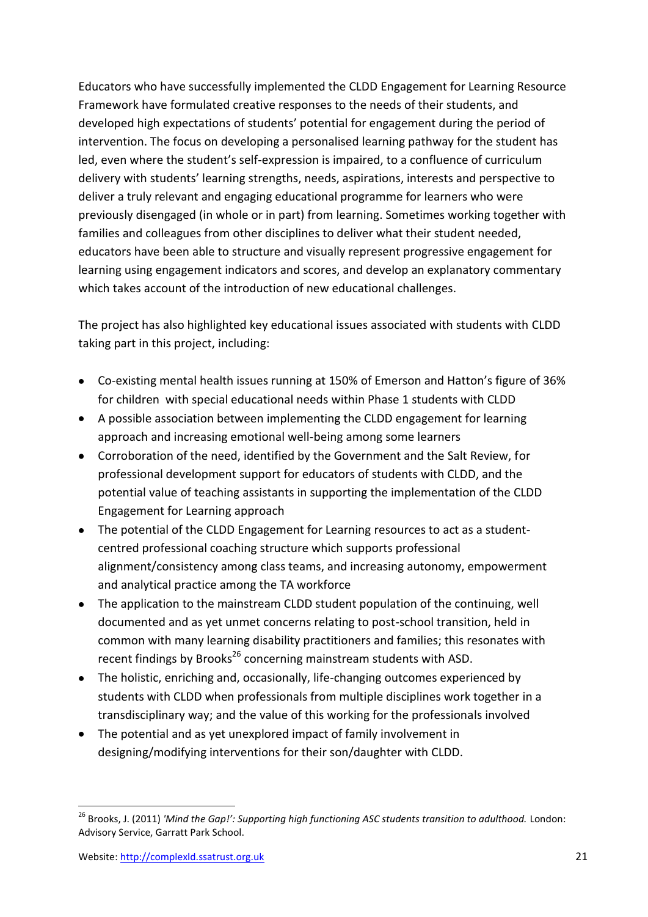Educators who have successfully implemented the CLDD Engagement for Learning Resource Framework have formulated creative responses to the needs of their students, and developed high expectations of students' potential for engagement during the period of intervention. The focus on developing a personalised learning pathway for the student has led, even where the student's self-expression is impaired, to a confluence of curriculum delivery with students' learning strengths, needs, aspirations, interests and perspective to deliver a truly relevant and engaging educational programme for learners who were previously disengaged (in whole or in part) from learning. Sometimes working together with families and colleagues from other disciplines to deliver what their student needed, educators have been able to structure and visually represent progressive engagement for learning using engagement indicators and scores, and develop an explanatory commentary which takes account of the introduction of new educational challenges.

The project has also highlighted key educational issues associated with students with CLDD taking part in this project, including:

- Co-existing mental health issues running at 150% of Emerson and Hatton's figure of 36% for children with special educational needs within Phase 1 students with CLDD
- A possible association between implementing the CLDD engagement for learning approach and increasing emotional well-being among some learners
- Corroboration of the need, identified by the Government and the Salt Review, for professional development support for educators of students with CLDD, and the potential value of teaching assistants in supporting the implementation of the CLDD Engagement for Learning approach
- The potential of the CLDD Engagement for Learning resources to act as a studentcentred professional coaching structure which supports professional alignment/consistency among class teams, and increasing autonomy, empowerment and analytical practice among the TA workforce
- The application to the mainstream CLDD student population of the continuing, well documented and as yet unmet concerns relating to post-school transition, held in common with many learning disability practitioners and families; this resonates with recent findings by Brooks<sup>26</sup> concerning mainstream students with ASD.
- The holistic, enriching and, occasionally, life-changing outcomes experienced by students with CLDD when professionals from multiple disciplines work together in a transdisciplinary way; and the value of this working for the professionals involved
- The potential and as yet unexplored impact of family involvement in designing/modifying interventions for their son/daughter with CLDD.

 $\overline{a}$ <sup>26</sup> Brooks, J. (2011) *'Mind the Gap!': Supporting high functioning ASC students transition to adulthood.* London: Advisory Service, Garratt Park School.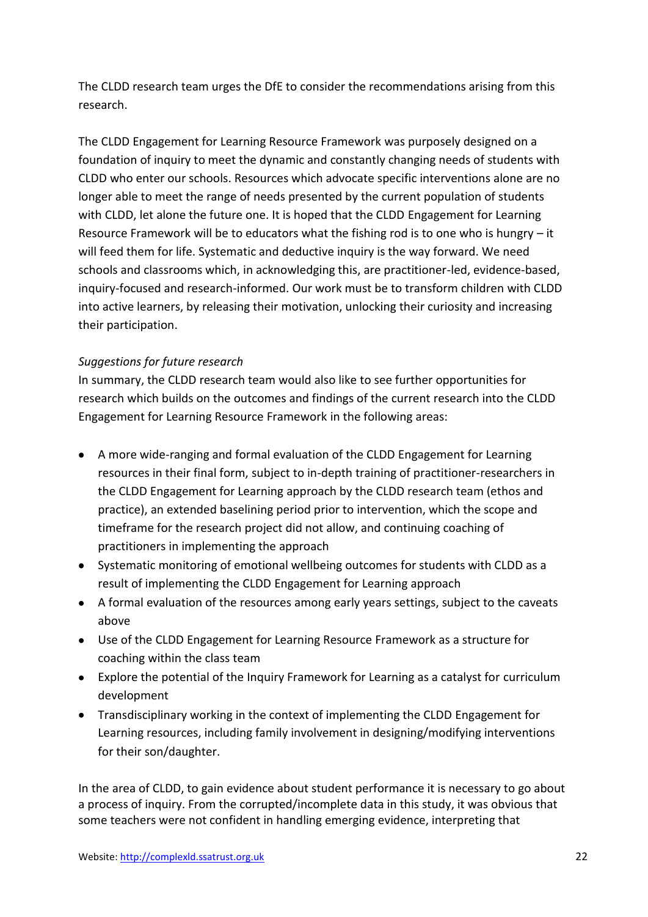The CLDD research team urges the DfE to consider the recommendations arising from this research.

The CLDD Engagement for Learning Resource Framework was purposely designed on a foundation of inquiry to meet the dynamic and constantly changing needs of students with CLDD who enter our schools. Resources which advocate specific interventions alone are no longer able to meet the range of needs presented by the current population of students with CLDD, let alone the future one. It is hoped that the CLDD Engagement for Learning Resource Framework will be to educators what the fishing rod is to one who is hungry – it will feed them for life. Systematic and deductive inquiry is the way forward. We need schools and classrooms which, in acknowledging this, are practitioner-led, evidence-based, inquiry-focused and research-informed. Our work must be to transform children with CLDD into active learners, by releasing their motivation, unlocking their curiosity and increasing their participation.

# *Suggestions for future research*

In summary, the CLDD research team would also like to see further opportunities for research which builds on the outcomes and findings of the current research into the CLDD Engagement for Learning Resource Framework in the following areas:

- A more wide-ranging and formal evaluation of the CLDD Engagement for Learning resources in their final form, subject to in-depth training of practitioner-researchers in the CLDD Engagement for Learning approach by the CLDD research team (ethos and practice), an extended baselining period prior to intervention, which the scope and timeframe for the research project did not allow, and continuing coaching of practitioners in implementing the approach
- Systematic monitoring of emotional wellbeing outcomes for students with CLDD as a result of implementing the CLDD Engagement for Learning approach
- A formal evaluation of the resources among early years settings, subject to the caveats above
- Use of the CLDD Engagement for Learning Resource Framework as a structure for coaching within the class team
- Explore the potential of the Inquiry Framework for Learning as a catalyst for curriculum development
- Transdisciplinary working in the context of implementing the CLDD Engagement for Learning resources, including family involvement in designing/modifying interventions for their son/daughter.

In the area of CLDD, to gain evidence about student performance it is necessary to go about a process of inquiry. From the corrupted/incomplete data in this study, it was obvious that some teachers were not confident in handling emerging evidence, interpreting that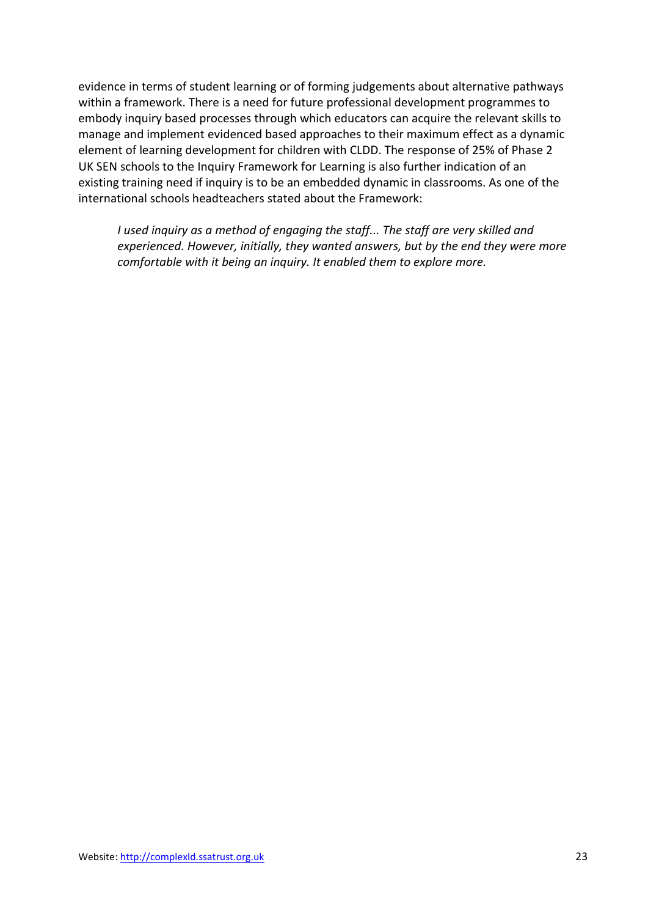evidence in terms of student learning or of forming judgements about alternative pathways within a framework. There is a need for future professional development programmes to embody inquiry based processes through which educators can acquire the relevant skills to manage and implement evidenced based approaches to their maximum effect as a dynamic element of learning development for children with CLDD. The response of 25% of Phase 2 UK SEN schools to the Inquiry Framework for Learning is also further indication of an existing training need if inquiry is to be an embedded dynamic in classrooms. As one of the international schools headteachers stated about the Framework:

*I used inquiry as a method of engaging the staff... The staff are very skilled and experienced. However, initially, they wanted answers, but by the end they were more comfortable with it being an inquiry. It enabled them to explore more.*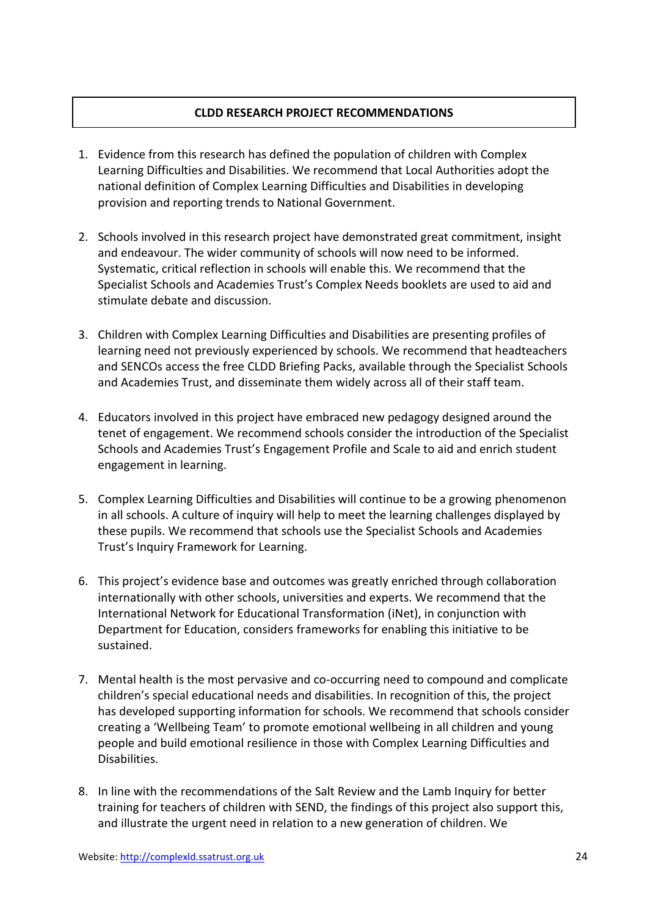# **CLDD RESEARCH PROJECT RECOMMENDATIONS**

- 1. Evidence from this research has defined the population of children with Complex Learning Difficulties and Disabilities. We recommend that Local Authorities adopt the national definition of Complex Learning Difficulties and Disabilities in developing provision and reporting trends to National Government.
- 2. Schools involved in this research project have demonstrated great commitment, insight and endeavour. The wider community of schools will now need to be informed. Systematic, critical reflection in schools will enable this. We recommend that the Specialist Schools and Academies Trust's Complex Needs booklets are used to aid and stimulate debate and discussion.
- 3. Children with Complex Learning Difficulties and Disabilities are presenting profiles of learning need not previously experienced by schools. We recommend that headteachers and SENCOs access the free CLDD Briefing Packs, available through the Specialist Schools and Academies Trust, and disseminate them widely across all of their staff team.
- 4. Educators involved in this project have embraced new pedagogy designed around the tenet of engagement. We recommend schools consider the introduction of the Specialist Schools and Academies Trust's Engagement Profile and Scale to aid and enrich student engagement in learning.
- 5. Complex Learning Difficulties and Disabilities will continue to be a growing phenomenon in all schools. A culture of inquiry will help to meet the learning challenges displayed by these pupils. We recommend that schools use the Specialist Schools and Academies Trust's Inquiry Framework for Learning.
- 6. This project's evidence base and outcomes was greatly enriched through collaboration internationally with other schools, universities and experts. We recommend that the International Network for Educational Transformation (iNet), in conjunction with Department for Education, considers frameworks for enabling this initiative to be sustained.
- 7. Mental health is the most pervasive and co-occurring need to compound and complicate children's special educational needs and disabilities. In recognition of this, the project has developed supporting information for schools. We recommend that schools consider creating a 'Wellbeing Team' to promote emotional wellbeing in all children and young people and build emotional resilience in those with Complex Learning Difficulties and Disabilities.
- 8. In line with the recommendations of the Salt Review and the Lamb Inquiry for better training for teachers of children with SEND, the findings of this project also support this, and illustrate the urgent need in relation to a new generation of children. We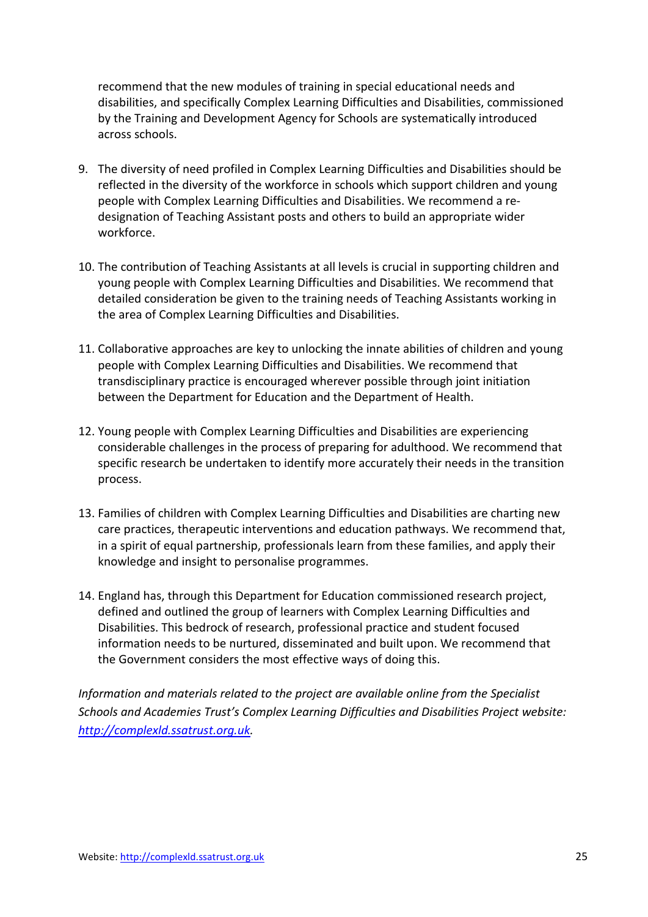recommend that the new modules of training in special educational needs and disabilities, and specifically Complex Learning Difficulties and Disabilities, commissioned by the Training and Development Agency for Schools are systematically introduced across schools.

- 9. The diversity of need profiled in Complex Learning Difficulties and Disabilities should be reflected in the diversity of the workforce in schools which support children and young people with Complex Learning Difficulties and Disabilities. We recommend a redesignation of Teaching Assistant posts and others to build an appropriate wider workforce.
- 10. The contribution of Teaching Assistants at all levels is crucial in supporting children and young people with Complex Learning Difficulties and Disabilities. We recommend that detailed consideration be given to the training needs of Teaching Assistants working in the area of Complex Learning Difficulties and Disabilities.
- 11. Collaborative approaches are key to unlocking the innate abilities of children and young people with Complex Learning Difficulties and Disabilities. We recommend that transdisciplinary practice is encouraged wherever possible through joint initiation between the Department for Education and the Department of Health.
- 12. Young people with Complex Learning Difficulties and Disabilities are experiencing considerable challenges in the process of preparing for adulthood. We recommend that specific research be undertaken to identify more accurately their needs in the transition process.
- 13. Families of children with Complex Learning Difficulties and Disabilities are charting new care practices, therapeutic interventions and education pathways. We recommend that, in a spirit of equal partnership, professionals learn from these families, and apply their knowledge and insight to personalise programmes.
- 14. England has, through this Department for Education commissioned research project, defined and outlined the group of learners with Complex Learning Difficulties and Disabilities. This bedrock of research, professional practice and student focused information needs to be nurtured, disseminated and built upon. We recommend that the Government considers the most effective ways of doing this.

*Information and materials related to the project are available online from the Specialist Schools and Academies Trust's Complex Learning Difficulties and Disabilities Project website: [http://complexld.ssatrust.org.uk.](http://complexld.ssatrust.org.uk/)*